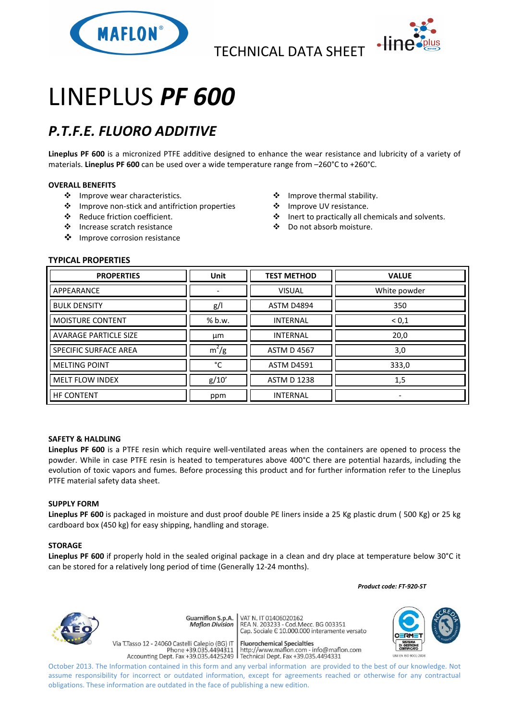



# LINEPLUS *PF 600*

## *P.T.F.E. FLUORO ADDITIVE*

**Lineplus PF 600** is a micronized PTFE additive designed to enhance the wear resistance and lubricity of a variety of materials. **Lineplus PF 600** can be used over a wide temperature range from –260°C to +260°C.

#### **OVERALL BENEFITS**

- ❖ Improve wear characteristics.
- Improve non-stick and antifriction properties
- Reduce friction coefficient.
- Increase scratch resistance
- ❖ Improve corrosion resistance
- Improve thermal stability.
- ❖ Improve UV resistance.
- Inert to practically all chemicals and solvents.
- Do not absorb moisture.

### **TYPICAL PROPERTIES**

| <b>PROPERTIES</b>            | <b>Unit</b> | <b>TEST METHOD</b> | <b>VALUE</b> |
|------------------------------|-------------|--------------------|--------------|
| APPEARANCE                   |             | <b>VISUAL</b>      | White powder |
| <b>BULK DENSITY</b>          | g/          | <b>ASTM D4894</b>  | 350          |
| <b>MOISTURE CONTENT</b>      | % b.w.      | <b>INTERNAL</b>    | < 0, 1       |
| <b>AVARAGE PARTICLE SIZE</b> | μm          | <b>INTERNAL</b>    | 20,0         |
| <b>SPECIFIC SURFACE AREA</b> | $m^2/g$     | <b>ASTM D 4567</b> | 3,0          |
| <b>MELTING POINT</b>         | °C          | <b>ASTM D4591</b>  | 333,0        |
| <b>MELT FLOW INDEX</b>       | g/10'       | <b>ASTM D 1238</b> | 1,5          |
| <b>HF CONTENT</b>            | ppm         | <b>INTERNAL</b>    | ۰            |

#### **SAFETY & HALDLING**

**Lineplus PF 600** is a PTFE resin which require well-ventilated areas when the containers are opened to process the powder. While in case PTFE resin is heated to temperatures above 400°C there are potential hazards, including the evolution of toxic vapors and fumes. Before processing this product and for further information refer to the Lineplus PTFE material safety data sheet.

#### **SUPPLY FORM**

**Lineplus PF 600** is packaged in moisture and dust proof double PE liners inside a 25 Kg plastic drum ( 500 Kg) or 25 kg cardboard box (450 kg) for easy shipping, handling and storage.

#### **STORAGE**

**Lineplus PF 600** if properly hold in the sealed original package in a clean and dry place at temperature below 30°C it can be stored for a relatively long period of time (Generally 12-24 months).

 *Product code: FT-920-ST*



Guarniflon S.p.A. **Maflon Division Fluorochemical Specialties** 

Via T.Tasso 12 - 24060 Castelli Calepio (BG) IT rideso 12 - 24060 Castelli Calepio (BG) if<br>Phone +39.035.4494311 http://www.maflon.com - info@maflon.com<br>Accounting Dept. Fax +39.035.4425249 Technical Dept. Fax +39.035.4494331

VAT N. IT 01406020162 REA N. 11 01400020102<br>REA N. 203233 - Cod.Mecc. BG 003351<br>Cap. Sociale E 10.000.000 interamente versato

October 2013. The Information contained in this form and any verbal information are provided to the best of our knowledge. Not assume responsibility for incorrect or outdated information, except for agreements reached or otherwise for any contractual obligations. These information are outdated in the face of publishing a new edition.